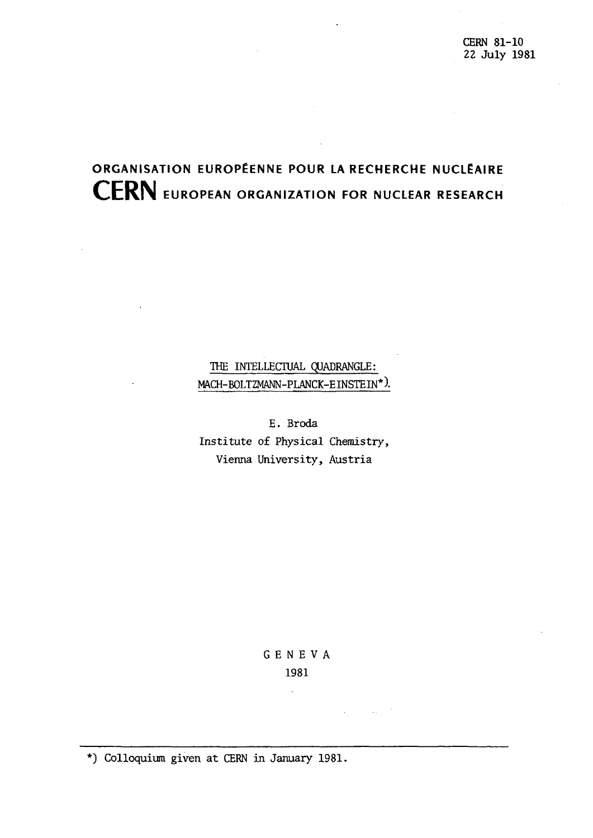# **ORGANISATION EUROPÉENNE POUR LA RECHERCHE NUCLÉAIRE CERN EUROPEAN ORGANIZATION FOR NUCLEAR RESEARCH**

THE INTELLECTUAL QUADRANGLE: MACH-BOLTZMANN-PLANCK-EINSTEIN\*).

E. Broda Institute of Physical Chemistry, Vienna University, Austria

## GENEV A 1981

and the state of

 $\ddot{\phantom{a}}$ 

\*) Colloquium given at CERN in January 1981.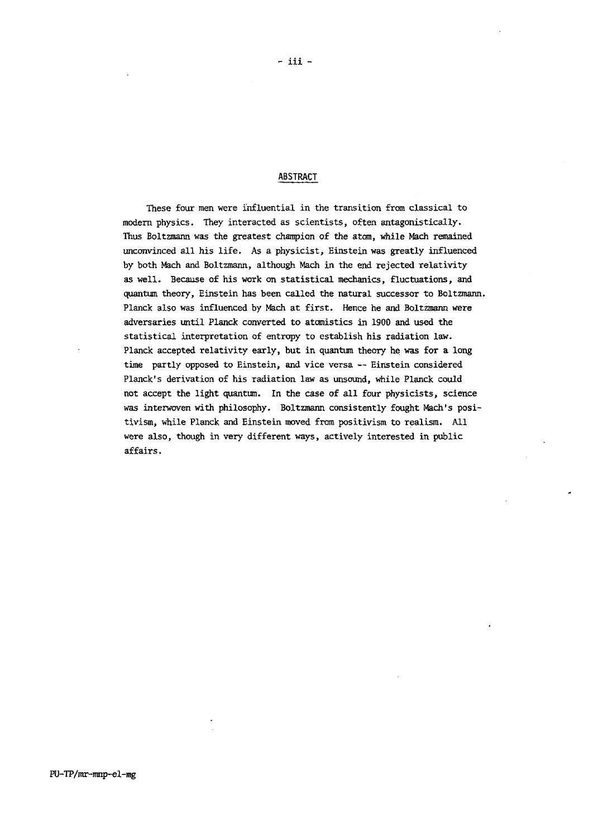#### ABSTRACT

These four men were influential in the transition from classical to modern physics. They interacted as scientists, often antagonistically. Thus Boltzmann was the greatest champion of the atom, while Mach remained unconvinced all his life. As a physicist, Einstein was greatly influenced by both Mach and Boltzmann, although Mach in the end rejected relativity as well. Because of his work on statistical mechanics, fluctuations, and quantum theory, Einstein has been called the natural successor to Boltzmann. Planck also was influenced by Mach at first. Hence he and Boltzmann were adversaries until Planck converted to atomistics in 1900 and used the statistical interpretation of entropy to establish his radiation law. Planck accepted relativity early, but in quantum theory he was for a long time partly opposed to Einstein, and vice versa — Einstein considered Planck's derivation of his radiation law as unsound, while Planck could not accept the light quantum. In the case of all four physicists, science was interwoven with philosophy. Boltzmann consistently fought Mach's positivism, while Planck and Einstein moved from positivism to realism. All were also, though in very different ways, actively interested in public affairs.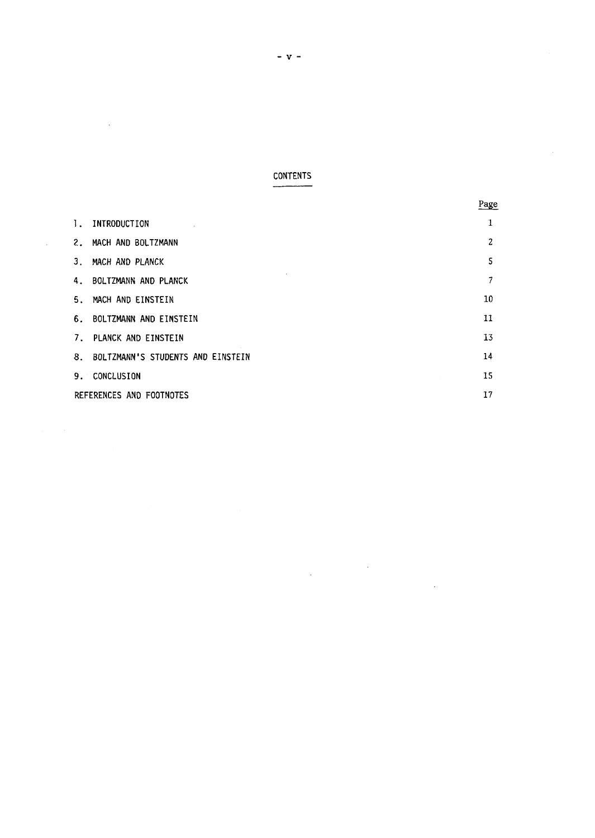### **CONTENTS**

 $\sim$   $\sim$ 

 $\mathcal{L}^{\text{max}}_{\text{max}}$ 

 $\mathcal{A}^{\mathcal{A}}$ 

 $\omega_{\rm{max}}$  and

|              |                                      | Page           |
|--------------|--------------------------------------|----------------|
| $\mathbf{L}$ | INTRODUCTION                         |                |
|              | 2. MACH AND BOLTZMANN                | $\overline{c}$ |
|              | 3. MACH AND PLANCK                   | 5              |
|              | 4. BOLTZMANN AND PLANCK              | 7              |
|              | 5. MACH AND EINSTEIN                 | 10             |
|              | 6. BOLTZMANN AND EINSTEIN            | 11             |
|              | 7. PLANCK AND EINSTEIN               | 13             |
|              | 8. BOLTZMANN'S STUDENTS AND EINSTEIN | 14             |
|              | 9. CONCLUSION                        | 15             |
|              | REFERENCES AND FOOTNOTES             |                |

 $\label{eq:2.1} \frac{1}{2}\sum_{i=1}^n\frac{1}{2}\left(\frac{1}{2}\sum_{i=1}^n\frac{1}{2}\sum_{i=1}^n\frac{1}{2}\sum_{i=1}^n\frac{1}{2}\sum_{i=1}^n\frac{1}{2}\sum_{i=1}^n\frac{1}{2}\sum_{i=1}^n\frac{1}{2}\sum_{i=1}^n\frac{1}{2}\sum_{i=1}^n\frac{1}{2}\sum_{i=1}^n\frac{1}{2}\sum_{i=1}^n\frac{1}{2}\sum_{i=1}^n\frac{1}{2}\sum_{i=1}^n\frac{1}{2}\sum$ 

 $\mathcal{L}^{\text{max}}_{\text{max}}$  , where  $\mathcal{L}^{\text{max}}_{\text{max}}$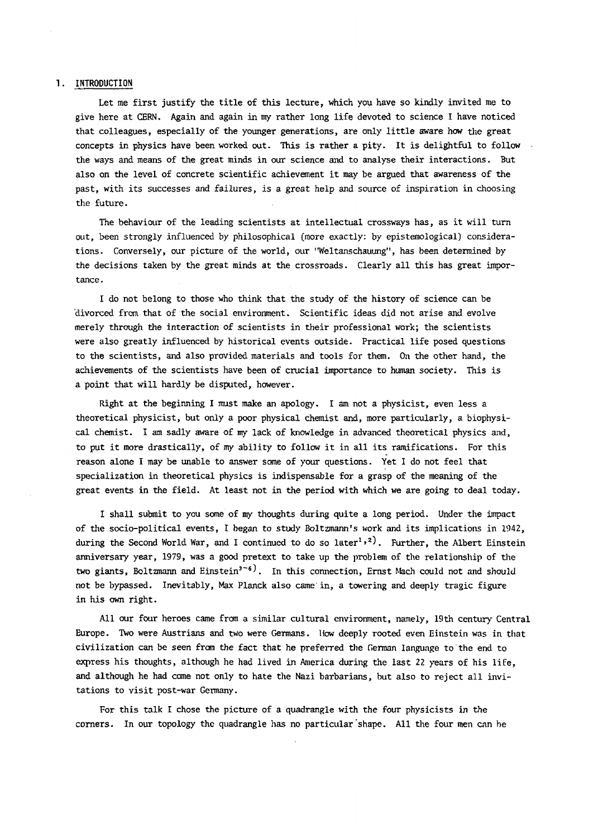#### 1. INTRODUCTION

Let me first justify the title of this lecture, which you have so kindly invited me to give here at CERN. Again and again in my rather long life devoted to science I have noticed that colleagues, especially of the younger generations, are only little aware how the great concepts in physics have been worked out. This is rather a pity. It is delightful to follow the ways and means of the great minds in our science and to analyse their interactions. But also on the level of concrete scientific achievement it may be argued that awareness of the past, with its successes and failures, is a great help and source of inspiration in choosing the future.

The behaviour of the leading scientists at intellectual crossways has, as it will turn out, been strongly influenced by philosophical (more exactly: by epistemological) considerations. Conversely, our picture of the world, our "Weltanschauung", has been determined by the decisions taken by the great minds at the crossroads. Clearly all this has great importance .

I do not belong to those who think that the study of the history of science can be divorced from that of the social environment. Scientific ideas did not arise and evolve merely through the interaction of scientists in their professional work; the scientists were also greatly influenced by historical events outside. Practical life posed questions to the scientists, and also provided materials and tools for them. On the other hand, the achievements of the scientists have been of crucial importance to human society. This is a point that will hardly be disputed, however.

Right at the beginning I must make an apology. I am not a physicist, even less a theoretical physicist, but only a poor physical chemist and, more particularly, a biophysical chemist. I am sadly aware of my lack of knowledge in advanced theoretical physics and, to put it more drastically, of my ability to follow it in all its ramifications. For this reason alone I may be unable to answer some of your questions. Yet I do not feel that specialization in theoretical physics is indispensable for a grasp of the meaning of the great events in the field. At least not in the period with which we are going to deal today.

I shall submit to you some of my thoughts during quite a long period. Under the impact of the socio-political events, I began to study Boltzmann's work and its implications in 1942, during the Second World War, and I continued to do so later''<sup>2</sup>'. Further, the Albert Einstein anniversary year, 1979, was a good pretext to take up the problem of the relationship of the two giants, Boltzmann and Einstein<sup>3-6</sup>. In this connection, Ernst Mach could not and should not be bypassed. Inevitably, Max Planck also came in, a towering and deeply tragic figure in his own right.

All our four heroes came from a similar cultural environment, namely, 19th century Central Europe. Two were Austrians and two were Germans. How deeply rooted even Einstein was in that civilization can be *seen* from the fact that he preferred the German language to the end to express his thoughts, although he had lived in America during the last 22 years of his life, and although he had come not only to hate the Nazi barbarians, but also to reject all invitations to visit post-war Germany.

For this talk I chose the picture of a quadrangle with the four physicists in the corners. In our topology the quadrangle has no particular "shape. All the four men can be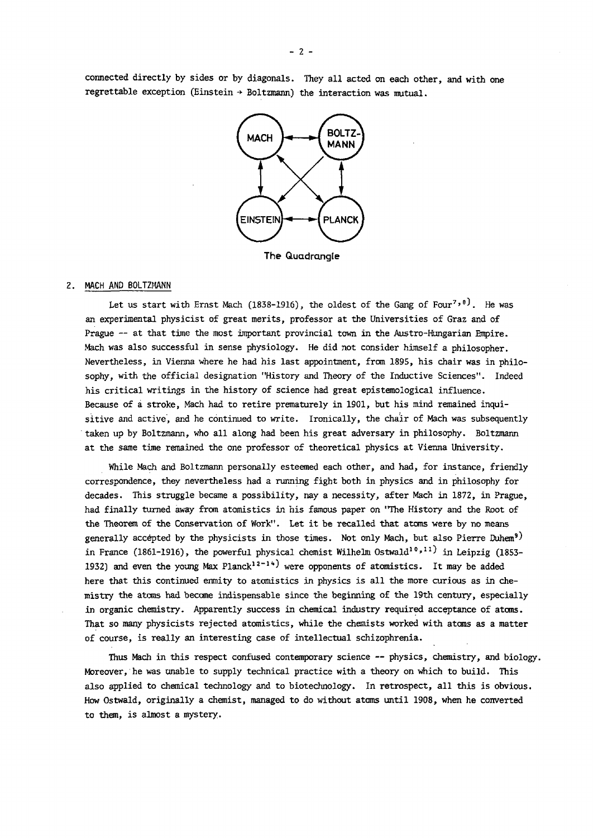connected directly by sides or by diagonals. They all acted on each other, and with one regrettable exception (Einstein  $\rightarrow$  Boltzmann) the interaction was mutual.



**The Quadrangle** 

#### 2. MACH AND BOLTZMANN

Let us start with Ernst Mach (1838-1916), the oldest of the Gang of Four''', He was an experimental physicist of great merits, professor at the Universities of Graz and of Prague — at that time the most important provincial town in the Austro-Hungarian Empire. Mach was also successful in sense physiology. He did not consider himself a philosopher. Nevertheless, in Vienna where he had his last appointment, from 1895, his chair was in philosophy, with the official designation "History and Theory of the Inductive Sciences". Indeed his critical writings in the history of science had great epistemological influence. Because of a stroke, Mach had to retire prematurely in 1901, but his mind remained inquisitive and active, and he continued to write. Ironically, the chair of Mach was subsequently taken up by Boltzmann, who all along had been his great adversary in philosophy. Boltzmann at the same time remained the one professor of theoretical physics at Vienna University.

While Mach and Boltzmann personally esteemed each other, and had, for instance, friendly correspondence, they nevertheless had a running fight both in physics and in philosophy for decades. This struggle became a possibility, nay a necessity, after Mach in 1872, in Prague, had finally turned away from atomistics in his famous paper on "The History and the Root of the Theorem of the Conservation of Work". Let it be recalled that atoms were by no means generally accepted by the physicists in those times. Not only Mach, but also Pierre Duhem<sup>9)</sup> in France (1861-1916), the powerful physical chemist Wilhelm Ostwald<sup>10,11</sup> in Leipzig (1853-1932) and even the young Max Planck<sup>1</sup>*<sup>i</sup> ~ 1 ' <sup>4</sup>*J were opponents of atomistics. It may be added here that this continued enmity to atomistics in physics is all the more curious as in chemistry the atoms had become indispensable since the beginning of the 19th century, especially in organic chemistry. Apparently success in chemical industry required acceptance of atoms. That so many physicists rejected atomistics, while the chemists worked with atoms as a matter of course, is really an interesting case of intellectual schizophrenia.

Thus Mach in this respect confused contemporary science — physics, chemistry, and biology. Moreover, he was unable to supply technical practice with a theory on which to build. This also applied to chemical technology and to biotechnology. In retrospect, all this is obvious. How Ostwald, originally a chemist, managed to do without atoms until 1908, when he converted to them, is almost a mystery.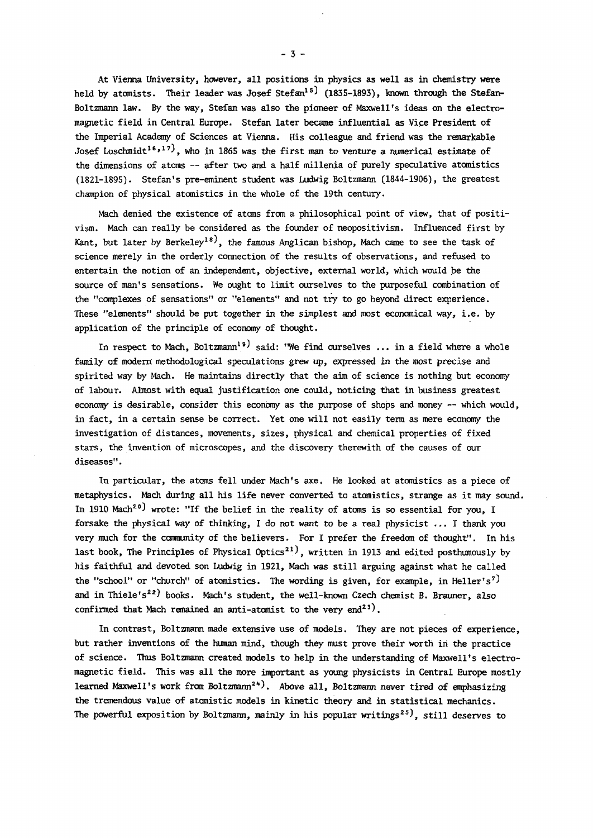At Vienna University, however, all positions in physics as well as in chemistry were held by atomists. Their leader was Josef Stefan<sup>15</sup> (1835-1893), known through the Stefan-Boltzmann law. By the way, Stefan was also the pioneer of Maxwell's ideas on the electromagnetic field in Central Europe. Stefan later became influential as Vice President of the Imperial Academy of Sciences at Vienna. His colleague and friend was the remarkable Josef Loschmidt<sup>16,17)</sup>, who in 1865 was the first man to venture a numerical estimate of the dimensions of atoms — after two and a half millenia of purely speculative atomistics (1821-1895). Stefan's pre-eminent student was Ludwig Boltzmann (1844-1906), the greatest champion of physical atomistics in the whole of the 19th century.

Mach denied the existence of atoms from a philosophical point of view, that of positivism. Mach can really be considered as the founder of neopositivism. Influenced first by Kant, but later by Berkeley<sup>18)</sup>, the famous Anglican bishop, Mach came to see the task of science merely in the orderly connection of the results of observations, and refused to entertain the notion of an independent, objective, external world, which would be the source of man's sensations. We ought to limit ourselves to the purposeful combination of the "complexes of sensations" or "elements" and not try to go beyond direct experience. These "elements" should be put together in the simplest and most economical way, i.e. by application of the principle of economy of thought.

In respect to Mach, Boltzmann<sup>19</sup> said: "We find ourselves ... in a field where a whole family of modern methodological speculations grew up, expressed in the most precise and spirited way by Mach. He maintains directly that the aim of science is nothing but economy of labour. Almost with equal justification one could, noticing that in business greatest economy is desirable, consider this economy as the purpose of shops and money — which would, in fact, in a certain sense be correct. Yet one will not easily term as mere economy the investigation of distances, movements, sizes, physical and chemical properties of fixed stars, the invention of microscopes, and the discovery therewith of the causes of our diseases".

In particular, the atoms fell under Mach's axe. He looked at atomistics as a piece of metaphysics. Mach during all his life never converted to atomistics, strange as it may sound. In 1910 Mach<sup>20</sup> ) wrote: "If the belief in the reality of atoms is so essential for you, I forsake the physical way of thinking, I do not want to be a real physicist ... I thank you very much for the community of the believers. For I prefer the freedom of thought". In his last book, The Principles of Physical Optics<sup>21</sup>, written in 1913 and edited posthumously by his faithful and devoted son Ludwig in 1921, Mach was still arguing against what he called the "school" or "church" of atomistics. The wording is given, for example, in Heller's<sup>7)</sup> and in Thiele's<sup>22</sup>) books. Mach's student, the well-known Czech chemist B. Brauner, also confirmed that Mach remained an anti-atomist to the very end<sup>23</sup>).

In contrast, Boltzmann made extensive use of models. They are not pieces of experience, but rather inventions of the human mind, though they must prove their worth in the practice of science. Thus Boltzmann created models to help in the understanding of Maxwell's electromagnetic field. This was all the more important as young physicists in Central Europe mostly learned Maxwell's work from Boltzmann<sup>2+</sup>). Above all, Boltzmann never tired of emphasizing the tremendous value of atomistic models in kinetic theory and in statistical mechanics. The powerful exposition by Boltzmann, mainly in his popular writings<sup>25)</sup>, still deserves to

 $-3 -$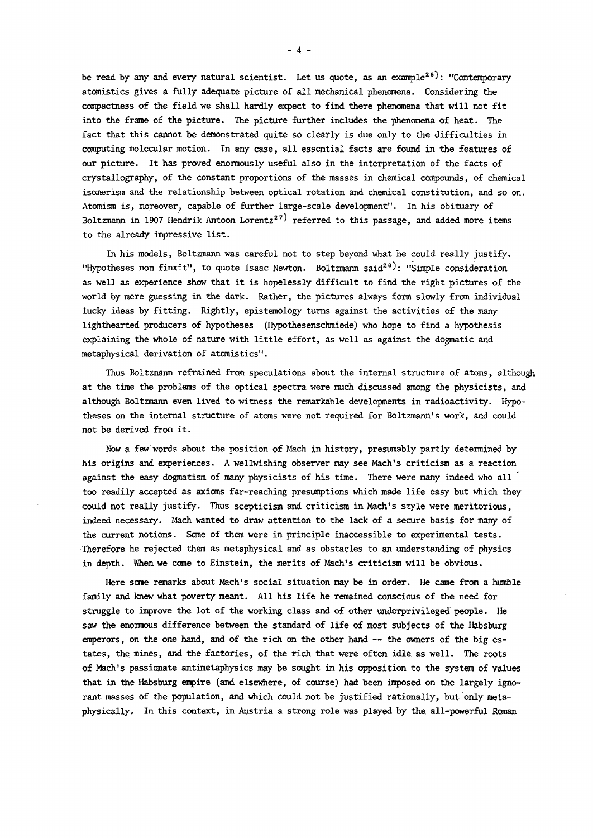be read by any and every natural scientist. Let us quote, as an example<sup>26</sup>): "Contemporary atomistics gives a fully adequate picture of all mechanical phenomena. Considering the compactness of the field we shall hardly expect to find there phenomena that will not fit into the frame of the picture. The picture further includes the phenomena of heat. The fact that this cannot be demonstrated quite so clearly is due only to the difficulties in computing molecular motion. In any case, all essential facts are found in the features of our picture. It has proved enormously useful also in the interpretation of the facts of crystallography, of the constant proportions of the masses in chemical compounds, of chemical isomerism and the relationship between optical rotation and chemical constitution, and so on. Atomism is, moreover, capable of further large-scale development". In his obituary of Boltzmann in 1907 Hendrik Antoon Lorentz<sup>27</sup> referred to this passage, and added more items to the already impressive list.

In his models, Boltzmann was careful not to step beyond what he could really justify. "Hypotheses non finxit", to quote Isaac Newton. Boltzmann said<sup>26</sup>): "Simple consideration as well as experience show that it is hopelessly difficult to find the right pictures of the world by mere guessing in the dark. Rather, the pictures always form slowly from individual lucky ideas by fitting. Rightly, epistemology turns against the activities of the many lighthearted producers of hypotheses (Hypothesenschmiede) who hope to find a hypothesis explaining the whole of nature with little effort, as well as against the dogmatic and metaphysical derivation of atomistics".

Thus Boltzmann refrained from speculations about the internal structure of atoms, although at the time the problems of the optical spectra were much discussed among the physicists, and although Boltzmann even lived to witness the remarkable developments in radioactivity. Hypotheses on the internal structure of atoms were not required for Boltzmann's work, and could not be derived from it.

Now a few words about the position of Mach in history, presumably partly determined by his origins and experiences. A wellwishing observer may see Mach's criticism as a reaction against the easy dogmatism of many physicists of his time. There were many indeed who all too readily accepted as axioms far-reaching presumptions which made life easy but which they could not really justify. Thus scepticism and criticism in Mach's style were meritorious, indeed necessary. Mach wanted to draw attention to the lack of a secure basis for many of the current notions. Some of them were in principle inaccessible to experimental tests. Therefore he rejected them as metaphysical and as obstacles to an understanding of physics in depth. When we come to Einstein, the merits of Mach's criticism will be obvious.

Here some remarks about Mach's social situation may be in order. He came from a humble family and knew what poverty meant. All his life he remained conscious of the need for struggle to improve the lot of the working class and of other underprivileged people. He saw the enormous difference between the standard of life of most subjects of the Habsburg emperors, on the one hand, and of the rich on the other hand — the owners of the big estates, the mines, and the factories, of the rich that were often idle, as well. The roots of Mach's passionate antimetaphysics may be sought in his opposition to the system of values that in the Habsburg empire (and elsewhere, of course) had been imposed on the largely ignorant masses of the population, and which could not be justified rationally, but only metaphysically. In this context, in Austria a strong role was played by the all-powerful Roman

 $- 4 -$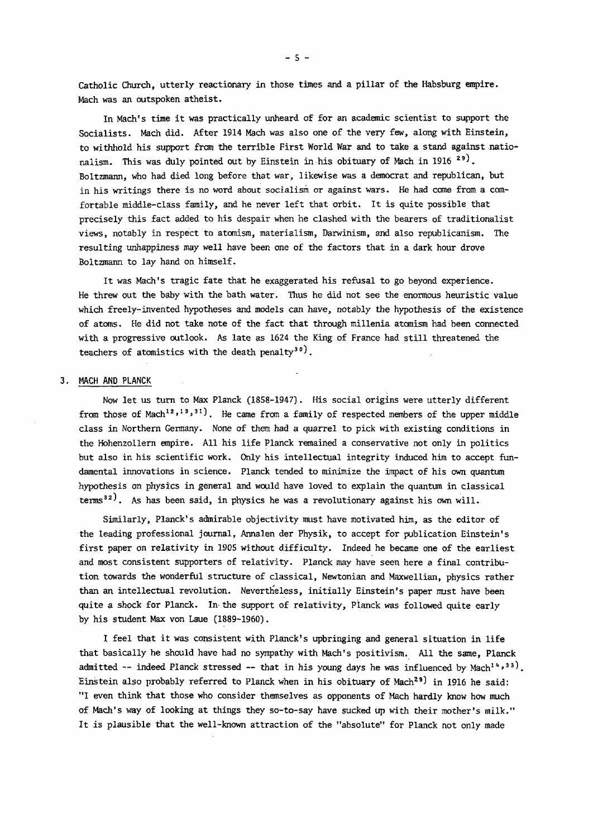Catholic Church, utterly reactionary in those times and a pillar of the Habsburg empire. Mach was an outspoken atheist.

In Mach's time it was practically unheard of for an academic scientist to support the Socialists. Mach did. After 1914 Mach was also one of the very few, along with Einstein, to withhold his support from the terrible First World War and to take a stand against nationalism. This was duly pointed out by Einstein in his obituary of Mach in 1916 \*''. Boltzmann, who had died long before that war, likewise was a democrat and republican, but in his writings there is no word about socialism or against wars. He had come from a comfortable middle-class family, and he never left that orbit. It is quite possible that precisely this fact added to his despair when he clashed with the bearers of traditionalist views, notably in respect to atomism, materialism, Darwinism, and also republicanism. The resulting unhappiness may well have been one of the factors that in a dark hour drove Boltzmann to lay hand on himself.

It was Mach's tragic fate that he exaggerated his refusal to go beyond experience. He threw out the baby with the bath water. Thus he did not see the enormous heuristic value which freely-invented hypotheses and models can have, notably the hypothesis of the existence of atoms. He did not take note of the fact that through millenia atomism had been connected with a progressive outlook. As late as 1624 the King of France had still threatened the teachers of atomistics with the death penalty<sup>30</sup>).

#### 3. MACH AND PLANCK

Now let us turn to Max Planck (1858-1947). His social origins were utterly different from those of Mach<sup>12,13,31</sup>J. He came from a family of respected members of the upper middle class in Northern Germany. None of them had a quarrel to pick with existing conditions in the Hohenzollern empire. All his life Planck remained a conservative not only in politics but also in his scientific work. Only his intellectual integrity induced him to accept fundamental innovations in science. Planck tended to minimize the impact of his own quantum hypothesis *on* physics in general and would have loved to explain the quantum in classical terms<sup>32)</sup>. As has been said, in physics he was a revolutionary against his own will.

Similarly, Planck's admirable objectivity must have motivated him, as the editor of the leading professional journal, Annalen der Physik, to accept for publication Einstein's first paper on relativity in 1905 without difficulty. Indeed he became one of the earliest and most consistent supporters of relativity. Planck may have seen here a final contribution towards the wonderful structure of classical, Newtonian and Maxwellian, physics rather than an intellectual revolution. Nevertheless, initially Einstein's paper must have been quite a shock for Planck. In the support of relativity, Planck was followed quite early by his student Max von Laue (1889-1960).

I feel that it was consistent with Planck's upbringing and general situation in life that basically he should have had no sympathy with Mach's positivism. All the same, Planck admitted -- indeed Planck stressed -- that in his young days he was influenced by Mach<sup>14,33</sup>). Einstein also probably referred to Planck when in his obituary of Mach<sup>29</sup> ) in 1916 he said: "I even think that those who consider themselves as opponents of Mach hardly know how much of Mach's way of looking at things they so-to-say have sucked up with their mother's milk." It is plausible that the well-known attraction of the "absolute" for Planck not only made

 $-5 -$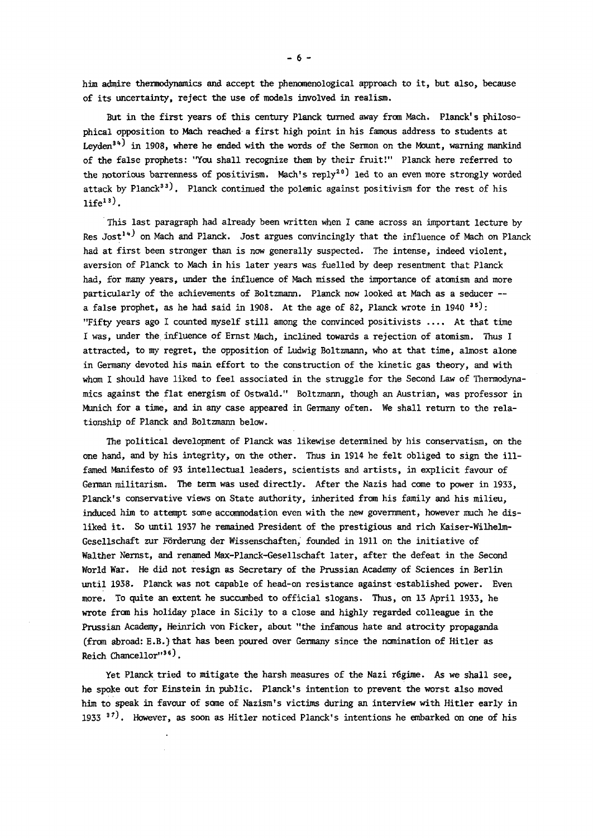him admire thermodynamics and accept the phenomenological approach to it, but also, because of its uncertainty, reject the use of models involved in realism.

But in the first years of this century Planck turned away from Mach. Planck's philosophical opposition to Mach reached a first high point in his famous address to students at Leyden<sup>34)</sup> in 1908, where he ended with the words of the Sermon on the Mount, warning mankind of the false prophets: "You shall recognize them by their fruit!" Planck here referred to the notorious barrenness of positivism. Mach's reply<sup>20</sup> led to an even more strongly worded attack by Planck<sup>33</sup>). Planck continued the polemic against positivism for the rest of his  $life^{13}$ .

This last paragraph had already been written when I came across an important lecture by Res Jost<sup>14)</sup> on Mach and Planck. Jost argues convincingly that the influence of Mach on Planck had at first been stronger than is now generally suspected. The intense, indeed violent, aversion of Planck to Mach in his later years was fuelled by deep resentment that Planck had, for many years, under the influence of Mach missed the importance of atomism and more particularly of the achievements of Boltzmann. Planck now looked at Mach as a seducer a false prophet, as he had said in 1908. At the age of 82, Planck wrote in 1940  $\cdot\cdot\cdot$  : "Fifty years ago I counted myself still among the convinced positivists .... At that time I was, under the influence of Ernst Mach, inclined towards a rejection of atomism. Thus I attracted, to my regret, the opposition of Ludwig Boltzmann, who at that time, almost alone in Germany devoted his main effort to the construction of the kinetic gas theory, and with whom I should have liked to feel associated in the struggle for the Second Law of Thermodynamics against the flat energism of Ostwald." Boltzmann, though an Austrian, was professor in Munich for a time, and in any case appeared in Germany often. We shall return to the relationship of Planck and Boltzmann below.

The political development of Planck was likewise determined by his conservatism, on the one hand, and by his integrity, on the other. Thus in 1914 he felt obliged to sign the illfamed Manifesto of 93 intellectual leaders, scientists and artists, in explicit favour of German militarism. The term was used directly. After the Nazis had come to power in 1933, Planck's conservative views on State authority, inherited from his family and his milieu, induced him to attempt some accommodation even with the new government, however much he disliked it. So until 1937 he remained President of the prestigious and rich Kaiser-Wilhelm-Gesellschaft zur Forderung der Wissenschaften, founded in 1911 on the initiative of Walther Nernst, and renamed Max-Planck-Gesellschaft later, after the defeat in the Second World War. He did not resign as Secretary of the Prussian Academy of Sciences in Berlin until 1938. Planck was not capable of head-on resistance against established power. Even more. To quite an extent he succumbed to official slogans. Thus, on 13 April 1933, he wrote from his holiday place in Sicily to a close and highly regarded colleague in the Prussian Academy, Heinrich von Ficker, about "the infamous hate and atrocity propaganda (from abroad: E .B. ) that has been poured over Germany since the nomination of Hitler as Reich Chancellor"<sup>3</sup>\*).

Yet Planck tried to mitigate the harsh measures of the Nazi régime. As we shall see, he spoke out for Einstein in public. Planck's intention to prevent the worst also moved him to speak in favour of some of Nazism's victims during an interview with Hitler early in 1933  *i7 > .* However, as soon as Hitler noticed Planck's intentions he embarked on one of his

 $-6 -$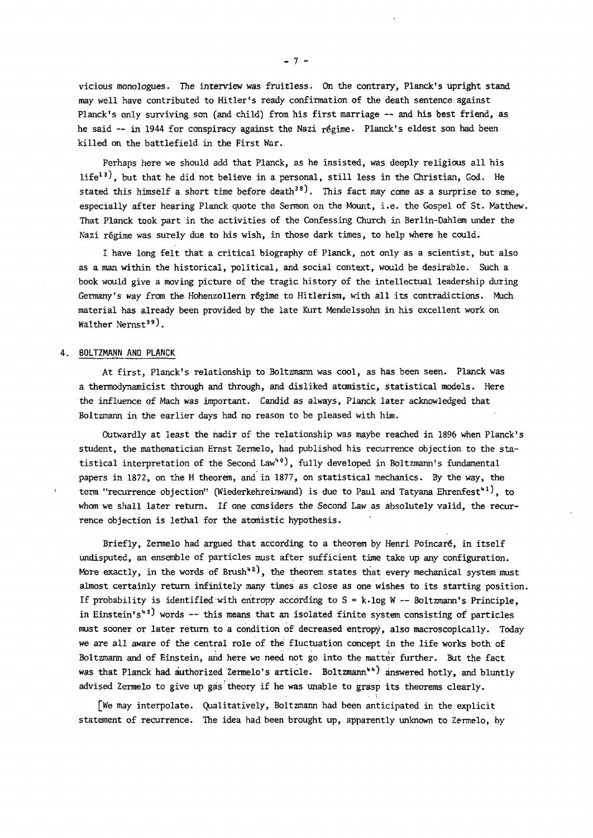vicious monologues. The interview was fruitless. On the contrary, Planck's upright stand may well have contributed to Hitler's ready confirmation of the death sentence against Planck's only surviving son (and child) from his first marriage — and his best friend, as he said -- in 1944 for conspiracy against the Nazi régime. Planck's eldest son had been killed on the battlefield in the First War.

Perhaps here we should add that Planck, as he insisted, was deeply religious all his  $life<sup>13</sup>$ , but that he did not believe in a personal, still less in the Christian, God. He stated this himself a short time before death<sup>38</sup>. This fact may come as a surprise to some, especially after hearing Planck quote the Sermon on the Mount, i.e. the Gospel of St. Matthew. That Planck took part in the activities of the Confessing Church in Berlin-Dahlem under the Nazi régime was surely due to his wish, in those dark times, to help where he could.

I have long felt that a critical biography of Planck, not only as a scientist, but also as a man within the historical, political, and social context, would be desirable. Such a book would give a moving picture of the tragic history of the intellectual leadership during Germany's way from the Hohenzollern regime to Hitlerism, with all its contradictions. Much material has already been provided by the late Kurt Mendelssohn in his excellent work on Walther Nernst<sup>39</sup>).

#### 4. BOLTZMANN AND PLANCK

At first, Planck's relationship to Boltzmann was cool, as has been seen. Planck was a thermodynamicist through and through, and disliked atomistic, statistical models. Here the influence of Mach was important. Candid as always, Planck later acknowledged that Boltzmann in the earlier days had no reason to be pleased with him.

Outwardly at least the nadir of the relationship was maybe reached in 1896 when Planck's student, the mathematician Ernst Zermelo, had published his recurrence objection to the statistical interpretation of the Second Law"<sup>v</sup>), fully developed in Boltzmann's fundamental papers in 1872, on the H theorem, and in 1877, on statistical mechanics. By the way, the term "recurrence objection" (Wiederkehreinwand) is due to Paul and Tatyana Ehrenfest<sup>\*\*;</sup>, to whom we shall later return. If one considers the Second Law as absolutely valid, the recurrence objection is lethal for the atomistic hypothesis.

Briefly, Zermelo had argued that according to a theorem by Henri Poincaré, in itself undisputed, an ensemble of particles must after sufficient time take up any configuration. More exactly, in the words of Brush $\cdot,$  the theorem states that every mechanical system must almost certainly return infinitely many times as close as one wishes to its starting position. If probability is identified with entropy according to S = k-log W — Boltzmann's Principle, in Einstein's<sup>43)</sup> words -- this means that an isolated finite system consisting of particles must sooner or later return to a condition of decreased entropy, also macroscopically. Today we are all aware of the central role of thé fluctuation concept in the life works both of Boltzmann and of Einstein, and here we need not go into the matter further. But the fact was that Planck had authorized Zermelo's article. Boltzmann<sup>44</sup>) answered hotly, and bluntly advised Zermelo to give up gas theory if he was unable to grasp its theorems clearly.

[We may interpolate. Qualitatively, Boltzmann had been anticipated in the explicit statement of recurrence. The idea had been brought up, apparently unknown to Zermelo, by

 $-7 -$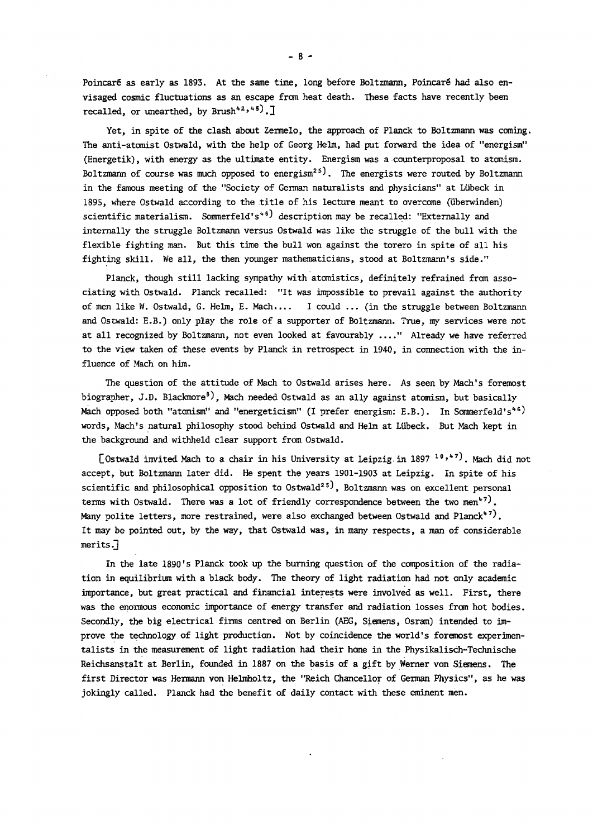Poincaré as early as 1893. At the same time, long before Boltzmann, Poincaré had also envisaged cosmic fluctuations as an escape from heat death. These facts have recently been recalled, or unearthed, by Brush<sup>42,499</sup>.1

Yet, in spite of the clash about Zermelo, the approach of Planck to Boltzmann was coming. The anti-atomist Ostwald, with the help of Georg Helm, had put forward the idea of "energism" (Energetik), with energy as the ultimate entity. Energism was a counterproposal to atomism. Boltzmann of course was much opposed to energism<sup>25</sup>). The energists were routed by Boltzmann in the famous meeting of the "Society of German naturalists and physicians" at Lùbeck in 1895, where Ostwald according to the title of his lecture meant to overcome (uberwinden) scientific materialism. Sommerfeld's<sup>46J</sup> description may be recalled: "Externally and internally the struggle Boltzmann versus Ostwald was like the struggle of the bull with the flexible fighting man. But this time the bull won against the torero in spite of all his fighting skill. We all, the then younger mathematicians, stood at Boltzmann's side."

Planck, though still lacking sympathy with atomistics, definitely refrained from associating with Ostwald. Planck recalled: "It was impossible to prevail against the authority of men like W. Ostwald, G. Helm, E. Mach.... I could ... (in the struggle between Boltzmann and Ostwald: E.B.) only play the role of a supporter of Boltzmann. True, my services were not at all recognized by Boltzmann, not even looked at favourably ...." Already we have referred to the view taken of these events by Planck in retrospect in 1940, in connection with the influence of Mach on him.

The question of the attitude of Mach to Ostwald arises here. As seen by Mach's foremost biographer, J.D. Blackmore<sup>8</sup>), Mach needed Ostwald as an ally against atomism, but basically Mach opposed both "atomism" and "energeticism" (I prefer energism: E.B.). In Sommerfeld's"') words, Mach's natural philosophy stood behind Ostwald and Helm at Lubeck. But Mach kept in the background and withheld clear support from Ostwald.

LOstwald invited Mach to a chair in his University at Leipzig in 1897 '''''. Mach did not accept, but Boltzmann later did. He spent the years 1901-1903 at Leipzig. In spite of his scientific and philosophical opposition to Ostwald<sup>25</sup>, Boltzmann was on excellent personal terms with Ostwald. There was a lot of friendly correspondence between the two men<sup>47J</sup>. Many polite letters, more restrained, were also exchanged between Ostwald and Planck"'). It may be pointed out, by the way, that Ostwald was, in many respects, a man of considerable  $merits.$ 

In the late 1890's Planck took up the burning question of the composition of the radiation in equilibrium with a black body. The theory of light radiation had not only academic importance, but great practical and financial interests were involved as well. First, there was the enormous economic importance of energy transfer and radiation losses from hot bodies. Secondly, the big electrical firms centred on Berlin (AEG, Siemens, Osram) intended to improve the technology of light production. Not by coincidence the world's foremost experimentalists in the measurement of light radiation had their home in the Physikalisch-Technische Reichsanstalt at Berlin, founded in 1887 on the basis of a gift by Werner von Siemens. The first Director was Hermann von Helmholtz, the "Reich Chancellor of German Physics", as he was jokingly called. Planck had the benefit of daily contact with these eminent men.

 $-8 -$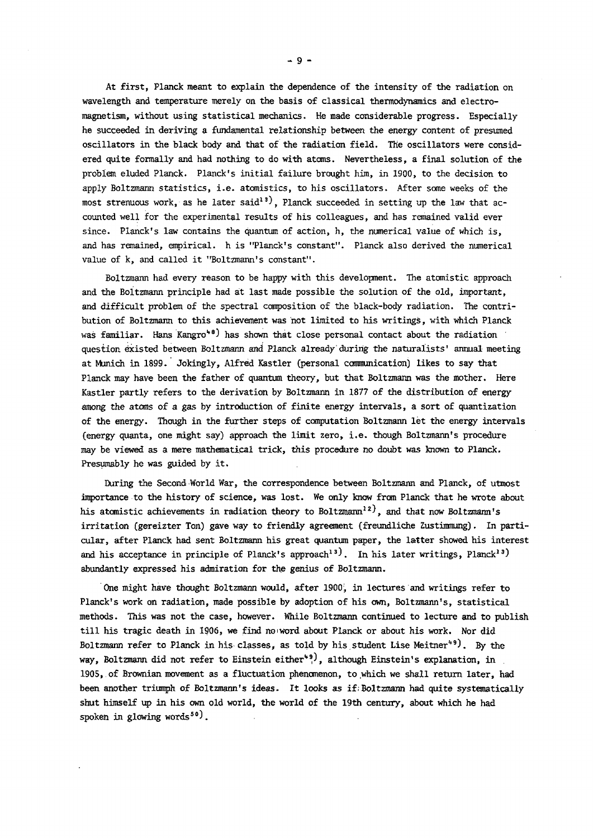At first, Planck meant to explain the dependence of the intensity of the radiation on wavelength and temperature merely on the basis of classical thermodynamics and electromagnetism, without using statistical mechanics. He made considerable progress. Especially he succeeded in deriving a fundamental relationship between the energy content of presumed oscillators in the black body and that of the radiation field. The oscillators were considered quite formally and had nothing to do with atoms. Nevertheless, a final solution of the problem eluded Planck. Planck's initial failure brought him, in 1900, to the decision to apply Boltzmann statistics, i.e. atomistics, to his oscillators. After some weeks of the most strenuous work, as he later said<sup>13</sup>, Planck succeeded in setting up the law that accounted well for the experimental results of his colleagues, and has remained valid ever since. Planck's law contains the quantum of action, h, the numerical value of which is, and has remained, empirical, h is "Planck's constant". Planck also derived the numerical value of k, and called it "Boltzmann's constant".

Boltzmann had every reason to be happy with this development. The atomistic approach and the Boitzmann principle had at last made possible the solution of the old, important, and difficult problem of the spectral composition of the black-body radiation. The contribution of Boltzmann to this achievement was not limited to his writings, with which Planck was familiar. Hans Kangro\*") has shown that close personal contact about the radiation question existed between Boltzmann and Planck already'during the naturalists' annual meeting at Munich in 1899. Jokingly, Alfred Kastler (personal communication) likes to say that Planck may have been the father of quantum theory, but that Boltzmann was the mother. Here Kastler partly refers to the derivation by Boltzmann in 1877 of the distribution of energy among the atoms of a gas by introduction of finite energy intervals, a sort of quantization of the energy. Though in the further steps of computation Boltzmann let the energy intervals (energy quanta, one might say) approach the limit zero, i.e. though Boltzmann's procedure may be viewed as a mere mathematical trick, this procedure *no* doubt was known to Planck. Presumably he was guided by it.

During the Second World War, the correspondence between Boltzmann and Planck, of utmost importance to the history of science, was lost. We only know from Planck that he wrote about his atomistic achievements in radiation theory to Boltzmann<sup>12</sup>), and that now Boltzmann's irritation (gereizter Ton) gave way to friendly agreement (freundliche Zustimmung). In particular, after Planck had sent Boltzmann his great quantum paper, the latter showed his interest and his acceptance in principle of Planck's approach<sup>13</sup>). In his later writings, Planck<sup>13</sup>) abundantly expressed his admiration for the genius of Boltzmann.

One might have thought Boltzmann would, after 1900, in lectures and writings refer to Planck's work on radiation, made possible by adoption of his own, Boltzmann's, statistical methods. This was not the case, however. While Boltzmann continued to lecture and to publish till his tragic death in 1906, we find no iword about Planck or about his work. Nor did Boltzmann refer to Planck in his classes, as told by his student Lise Meitner"". By the way, Boltzmann did not refer to Einstein either<sup>49</sup>, although Einstein's explanation, in 1905,.of Brownian movement as a fluctuation phenomenon, to which we shall return later, had been another triumph of Boltzmann's ideas. It looks as if.Boltzmann had quite systematically shut himself up in his own old world, the world of the 19th century, about which he had spoken in glowing words<sup>50</sup>.

 $-9 -$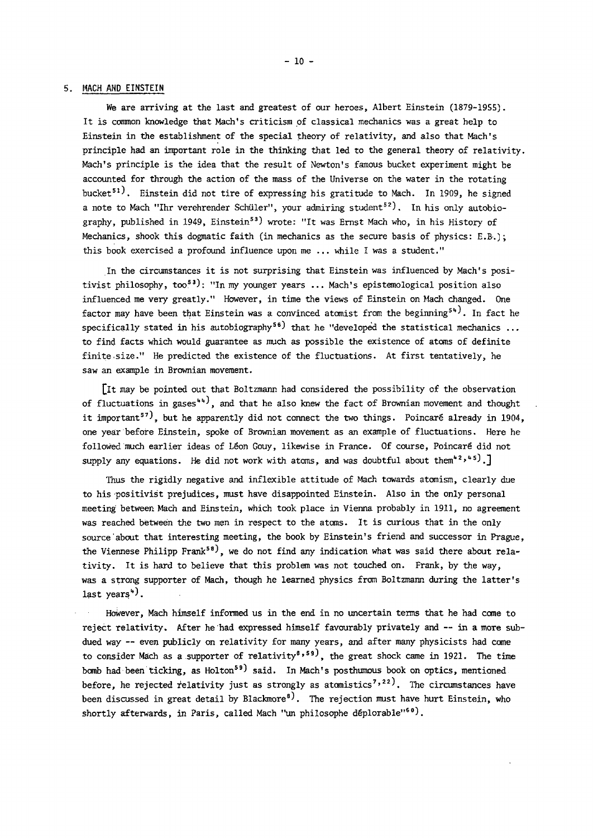#### 5. MACH AND EINSTEIN

We are arriving at the last and greatest of our heroes, Albert Einstein (1879-1955). It is common knowledge that Mach's criticism of classical mechanics was a great help to Einstein in the establishment of the special theory of relativity, and also that Mach's principle had an important role in the thinking that led to the general theory of relativity. Mach's principle is the idea that the result of Newton's famous bucket experiment might be accounted for through the action of the mass of the Universe on the water in the rotating bucket<sup>51)</sup>. Einstein did not tire of expressing his gratitude to Mach. In 1909, he signed a note to Mach "Ihr verehrender Schüler", your admiring student<sup>52</sup>). In his only autobiography, published in 1949, Einstein<sup>53</sup> wrote: "It was Ernst Mach who, in his History of Mechanics, shook this dogmatic faith (in mechanics as the secure basis of physics: E.B.) ; this book exercised a profound influence upon me ... while I was a student."

In the circumstances it is not surprising that Einstein was influenced by Mach's positivist philosophy, too<sup>53</sup>): "In my younger years ... Mach's epistemological position also influenced me very greatly." However, in time the views of Einstein on Mach changed. One factor may have been that Einstein was a convinced atomist from the beginning<sup>54</sup>. In fact he specifically stated in his autobiography<sup>56</sup>) that he "developed the statistical mechanics ... to find facts which would guarantee as much as possible the existence of atoms of definite finite size." He predicted the existence of the fluctuations. At first tentatively, he saw an example in Brownian movement.

[it may be pointed out that Boltzmann had considered the possibility of the observation of fluctuations in gases"', and that he also knew the fact of Brownian movement and thought it important<sup>57</sup>, but he apparently did not connect the two things. Poincaré already in 1904, one year before Einstein, spoke of Brownian movement as an example of fluctuations. Here he followed much earlier ideas of Léon Gouy, likewise in France. Of course, Poincaré did not supply any equations. He did not work with atoms, and was doubtful about them<sup>42,45</sup>).]

Thus the rigidly negative and inflexible attitude of Mach towards atomism, clearly due to his positivist prejudices, must have disappointed Einstein. Also in the only personal meeting between Mach and Einstein, which took place in Vienna probably in 1911, no agreement was reached between the two men in respect to the atoms. It is curious that in the only source about that interesting meeting, the book by Einstein's friend and successor in Prague, the Viennese Philipp Frank<sup>58</sup>, we do not find any indication what was said there about relativity. It is hard to believe that this problem was not touched on. Frank, by the way, was a strong supporter of Mach, though he learned physics from Boltzmann during the latter's last years<sup>4</sup>).

However, Mach himself informed us in the end in no uncertain terms that he had come to reject relativity. After he had expressed himself favourably privately and — in a more subdued way — even publicly on relativity for many years, and after many physicists had come to consider Mach as a supporter of relativity<sup>8,59)</sup>, the great shock came in 1921. The time bomb had been ticking, as  $Holton<sup>59</sup>$  said. In Mach's posthumous book on optics, mentioned before, he rejected relativity just as strongly as atomistics<sup>7,22)</sup>. The circumstances have been discussed in great detail by Blackmore<sup>8</sup>). The rejection must have hurt Einstein, who shortly afterwards, in Paris, called Mach "un philosophe déplorable"<sup>60</sup>).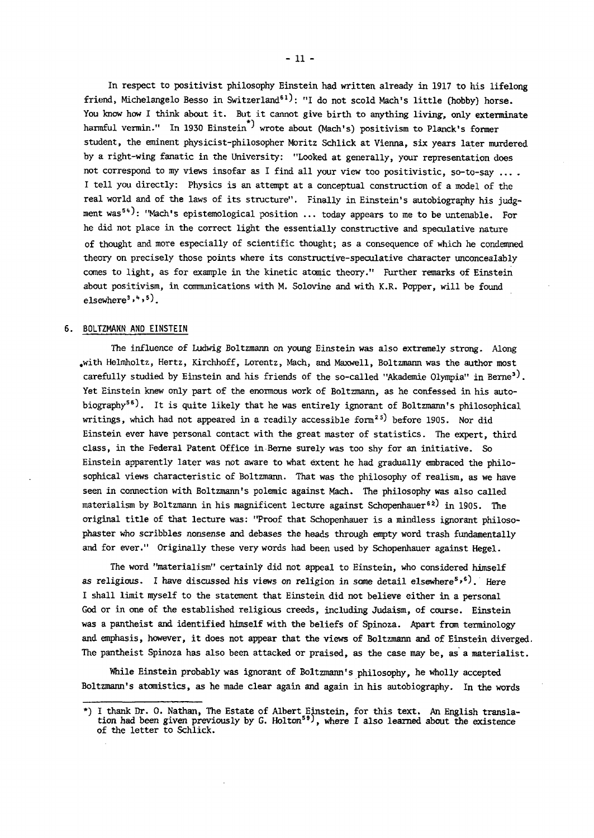In respect to positivist philosophy Einstein had written already in 1917 to his lifelong friend, Michelangelo Besso in Switzerland<sup>61</sup>): "I do not scold Mach's little (hobby) horse. You know how I think about it. But it cannot give birth to anything living, only exterminate harmful vermin." In 1930 Einstein<sup>\*)</sup> wrote about (Mach's) positivism to Planck's former student, the eminent physicist-philosopher Moritz Schlick at Vienna, six years later murdered by a right-wing fanatic in the University: "Looked at generally, your representation does not correspond to my views insofar as I find all your view too positivistic, so-to-say .... I tell you directly: Physics is an attempt at a conceptual construction of a model of the real world and of the laws of its structure". Finally in Einstein's autobiography his judgment was<sup>54</sup>): "Mach's epistemological position ... today appears to me to be untenable. For he did not place in the correct light the essentially constructive and speculative nature of thought and more especially of scientific thought; as a consequence of which he condemned theory on precisely those points where its constructive-speculative character unconcealably comes to light, as for example in the kinetic atomic theory." Further remarks of Einstein about positivism, in communications with M. Solovine and with K.R. Popper, will be found elsewhere<sup>3</sup> $,$ 4,5).

#### 6. BOLTZMANN AND EINSTEIN

The influence of Ludwig Boltzmann on young Einstein was also extremely strong. Along .with Helmholtz, Hertz, Kirchhoff, Lorentz, Mach, and Maxwell, Boltzmann was the author most carefully studied by Einstein and his friends of the so-called "Akademie Olympia" in Berne<sup>3)</sup>. Yet Einstein knew only part of the enormous work of Boltzmann, as he confessed in his autobiography<sup>56</sup>). It is quite likely that he was entirely ignorant of Boltzmann's philosophical writings, which had not appeared in a readily accessible form<sup>25)</sup> before 1905. Nor did Einstein ever have personal contact with the great master of statistics. The expert, third class, in the Federal Patent Office in Berne surely was too shy for an initiative. So Einstein apparently later was not aware to what extent he had gradually embraced the philosophical views characteristic of Boltzmann. That was the philosophy of realism, as we have seen in connection with Boltzmann's polemic against Mach. The philosophy was also called materialism by Boltzmann in his magnificent lecture against Schopenhauer<sup>62)</sup> in 1905. The original title of that lecture was: "Proof that Schopenhauer is a mindless ignorant philosophaster who scribbles nonsense and debases the heads through empty word trash fundamentally and for ever." Originally these very words had been used by Schopenhauer against Hegel.

The word "materialism" certainly did not appeal to Einstein, who considered himself as religious. I have discussed his views on religion in some detail elsewhere ",". Here I shall limit myself to the statement that Einstein did not believe either in a personal God or in one of the established religious creeds, including Judaism, of course. Einstein was a pantheist and identified himself with the beliefs of Spinoza. Apart from terminology and emphasis, however, it does not appear that the views of Boltzmann and of Einstein diverged. The pantheist Spinoza has also been attacked or praised, as the case may be, as a materialist.

While Einstein probably was ignorant of Boltzmann's philosophy, he wholly accepted Boltzmann's atomistics, as he made clear again and again in his autobiography. In the words

<sup>\*)</sup> I thank Dr. 0. Nathan, The Estate of Albert Einstein, for this text. An English translation had been given previously by G. Holton<sup>59</sup>, where I also learned about the existence of the letter to Schlick.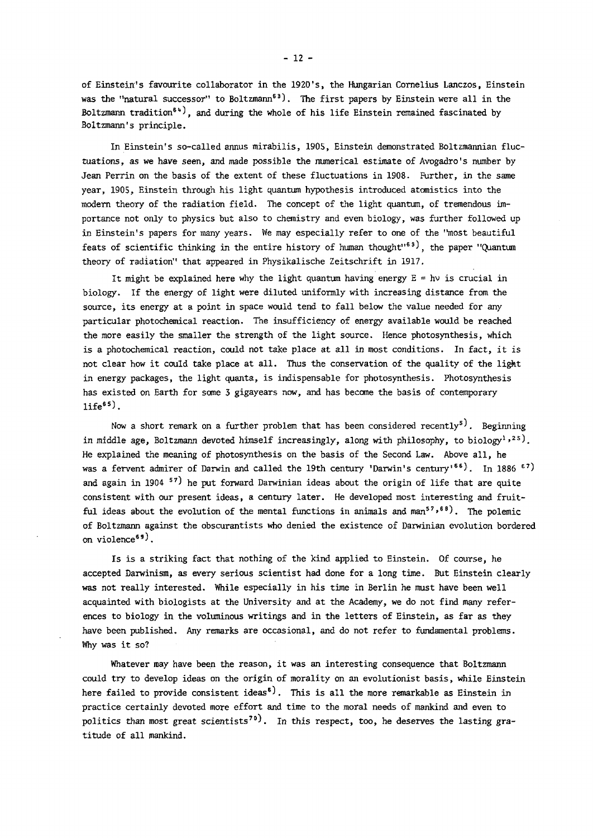of Einstein's favourite collaborator in the 1920's, the Hungarian Cornelius Lanczos, Einstein was the "natural successor" to Boltzmann<sup>63</sup>). The first papers by Einstein were all in the Boltzmann tradition<sup>64</sup>), and during the whole of his life Einstein remained fascinated by Boltzmann's principle.

In Einstein's so-called annus mirabilis, 1905, Einstein demonstrated Boltzmannian fluctuations, as we have seen, and made possible the numerical estimate of Avogadro's number by Jean Perrin on the basis of the extent of these fluctuations in 1908. Further, in the same year, 1905, Einstein through his light quantum hypothesis introduced atomistics into the modern theory of the radiation field. The concept of the light quantum, of tremendous importance not only to physics but also to chemistry and even biology, was further followed up in Einstein's papers for many years. We may especially refer to one of the "most beautiful feats of scientific thinking in the entire history of human thought<sup>163</sup>, the paper "Quantum theory of radiation" that appeared in Physikalische Zeitschrift in 1917.

It might be explained here why the light quantum having energy  $E = hv$  is crucial in biology. If the energy of light were diluted uniformly with increasing distance from the source, its energy at a point in space would tend to fall below the value needed for any particular photochemical reaction. The insufficiency of energy available would be reached the more easily the smaller the strength of the light source. Hence photosynthesis, which is a photochemical reaction, could not take place at all in most conditions. In fact, it is not clear how it could take place at all. Thus the conservation of the quality of the light in energy packages, the light quanta, is indispensable for photosynthesis. Photosynthesis has existed on Earth for some 3 gigayears now, and has become the basis of contemporary  $life<sup>65</sup>$ .

Now a short remark on a further problem that has been considered recently<sup>5)</sup>. Beginning in middle age, Boltzmann devoted himself increasingly, along with philosophy, to biology $^{1}\,$ ,  $^{2}$  s). He explained the meaning of photosynthesis on the basis of the Second Law. Above all, he was a fervent admirer of Darwin and called the 19th century 'Darwin's century'<sup>66)</sup>. In 1886  $\epsilon$ <sup>7</sup>) and again in 1904 ''' he put forward Darwinian ideas about the origin of life that are quite consistent with our present ideas, a century later. He developed most interesting and fruitful ideas about the evolution of the mental functions in animals and man<sup>57,68)</sup>. The polemic of Boltzmann against the obscurantists who denied the existence of Darwinian evolution bordered on violence<sup>69)</sup>.

Is is a striking fact that nothing of the kind applied to Einstein. Of course, he accepted Darwinism, as every serious scientist had done for a long time. But Einstein clearly was not really interested. While especially in his time in Berlin he must have been well acquainted with biologists at the University and at the Academy, we do not find many references to biology in the voluminous writings and in the letters of Einstein, as far as they have been published. Any remarks are occasional, and do not refer to fundamental problems. Why was it so?

Whatever may have been the reason, it was an interesting consequence that Boltzmann could try to develop ideas on the origin of morality on an evolutionist basis, while Einstein here failed to provide consistent ideas<sup>5</sup>). This is all the more remarkable as Einstein in practice certainly devoted more effort and time to the moral needs of mankind and even to politics than most great scientists<sup>70</sup>). In this respect, too, he deserves the lasting gratitude of all mankind.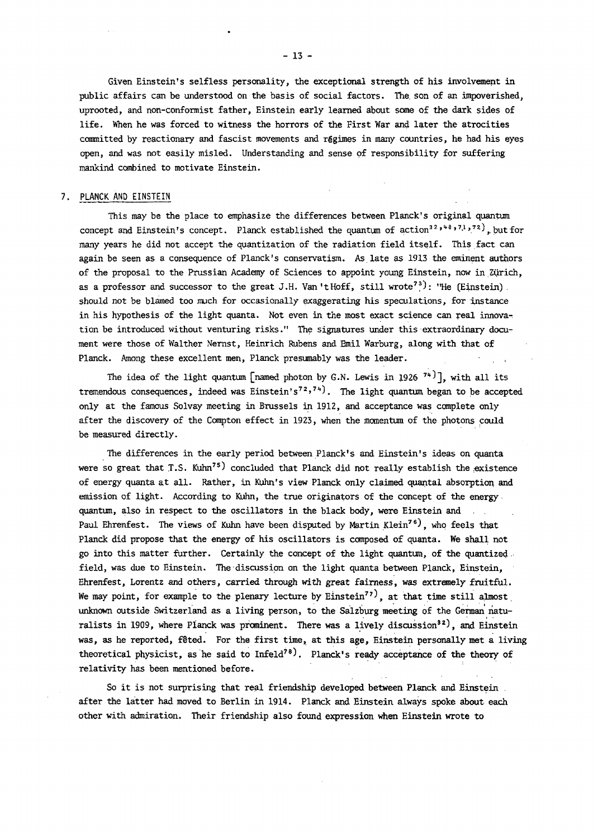Given Einstein's selfless personality, the exceptional strength of his involvement in public affairs can be understood on the basis of social factors. The. son of an impoverished, uprooted, and non-conformist father, Einstein early learned about some of the dark sides of life. When he was forced to witness the horrors of the First War and later the atrocities committed by reactionary and fascist movements and régimes in many countries, he had his eyes open, and was not easily misled. Understanding and sense of responsibility for suffering mankind combined to motivate Einstein.

#### 7. PLANCK AND EINSTEIN

This may be the place to emphasize the differences between Planck's original quantum concept and Einstein's concept. Planck established the quantum of action<sup>32,48</sup>,<sup>11</sup>,<sup>72</sup>, but for many years he did not accept the quantization of the radiation field itself. This fact can again be seen as a consequence of Planck's conservatism. As late as 1913 the eminent authors of the proposal to the Prussian Academy of Sciences to appoint young Einstein, now in Zurich, as a professor and successor to the great J.H. Van 't Hoff, still wrote<sup>73</sup>): "He (Einstein). should not be blamed too much for occasionally exaggerating his speculations, for instance in his hypothesis of the light quanta. Not even in the most exact science can real innovation be introduced without venturing risks." The signatures under this extraordinary document were those of Walther Nernst, Heinrich Rubens and Emil Warburg, along with that of Planck. Among these excellent men, Planck presumably was the leader.

The idea of the light quantum [named photon by  $G.N.$  Lewis in 1926  $^{\prime\prime\prime}$  ], with all its tremendous consequences, indeed was Einstein's'<sup>2,'4)</sup>. The light quantum began to be accepted only at the famous Solvay meeting in Brussels in 1912, and acceptance was complete only after the discovery of the Compton effect in 1923, when the momentum of the photons could be measured directly.

The differences in the early period between Planck's and Einstein's ideas on quanta were so great that  $T.S.$  Kuhn<sup>75</sup>) concluded that Planck did not really establish the existence of energy quanta at all. Rather, in Kuhn's view Planck only claimed quantal absorption and emission of light. According to Kuhn, the true originators of the concept of the energy quantum, also in respect to the oscillators in the black body, were Einstein and Paul Ehrenfest. The views of Kuhn have been disputed by Martin Klein<sup>76</sup>, who feels that Planck did propose that the energy of his oscillators is composed of quanta. We shall not go into this matter further. Certainly the concept of the light quantum, of the quantized field, was due to Einstein. The discussion on the light quanta between Planck, Einstein, Ehrenfest, Lorentz and others, carried through with great fairness, was extremely fruitful. We may point, for example to the plenary lecture by Einstein<sup>77)</sup>, at that time still almost unknown outside Switzerland as a living person, to the Salzburg meeting of the German naturalists in 1909, where Planck was prominent. There was a lively discussion<sup>32</sup>), and Einstein was, as he reported, feted. For the first time, at this age, Einstein personally met a living theoretical physicist, as he said to  $Infeld^{78}$ . Planck's ready acceptance of the theory of relativity has been mentioned before.

So it is not surprising that real friendship developed between Planck and Einstein . after the latter had moved to Berlin in 1914. Planck and Einstein always spoke about each other with admiration. Their friendship also found expression when Einstein wrote to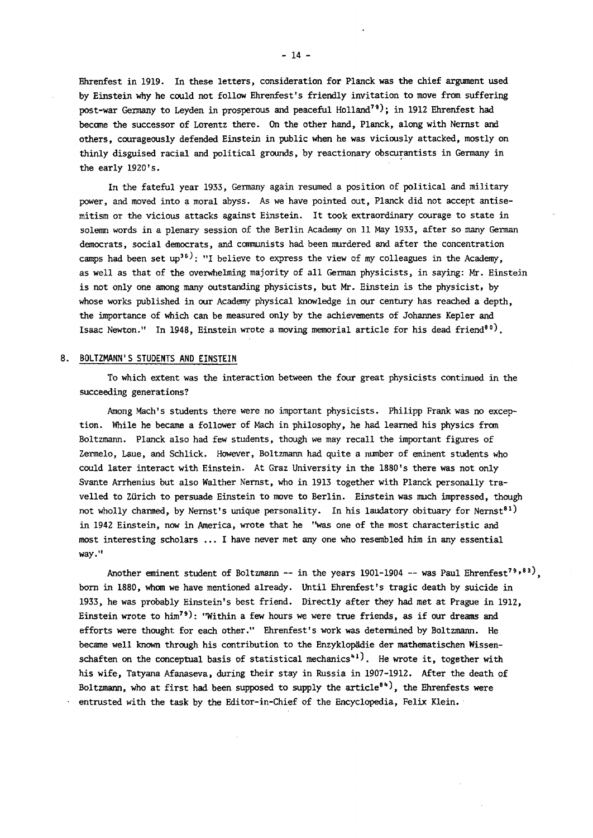Ehrenfest in 1919. In these letters, consideration for Planck was the chief argument used by Einstein why he could not follow Ehrenfest's friendly invitation to move from suffering post-war Germany to Leyden in prosperous and peaceful Holland<sup>79</sup>); in 1912 Ehrenfest had become the successor of Lorentz there. On the other hand, Planck, along with Nernst and others, courageously defended Einstein in public when he was viciously attacked, mostly on thinly disguised racial and political grounds, by reactionary obscurantists in Germany in the early 1920's.

In the fateful year 1933, Germany again resumed a position of political and military power, and moved into a moral abyss. As we have pointed out, Planck did not accept antisemitism or the vicious attacks against Einstein. It took extraordinary courage to state in solemn words in a plenary session of the Berlin Academy on 11 May 1933, after so many German democrats, social democrats, and communists had been murdered and after the concentration camps had been set up<sup>35)</sup>: "I believe to express the view of my colleagues in the Academy, as well as that of the overwhelming majority of all German physicists, in saying: Mr. Einstein is not only one among many outstanding physicists, but Mr. Einstein is the physicist, by whose works published in our Academy physical knowledge in our century has reached a depth, the importance of which can be measured only by the achievements of Johannes Kepler and Isaac Newton." In 1948, Einstein wrote a moving memorial article for his dead friend<sup>80)</sup>.

#### 8. BOLTZMANN'S STUDENTS AND EINSTEIN

To which extent was the interaction between the four great physicists continued in the succeeding generations?

Among Mach's students there were no important physicists. Philipp Frank was no exception. While he became a follower of Mach in philosophy, he had learned his physics from Boltzmann. Planck also had few students, though we may recall the important figures of Zermelo, Laue, and Schlick. However, Boltzmann had quite a number of eminent students who could later interact with Einstein. At Graz University in the 1880's there was not only Svante Arrhenius but also Walther Nernst, who in 1913 together with Planck personally travelled to Zurich to persuade Einstein to move to Berlin. Einstein was much impressed, though not wholly charmed, by Nernst's unique personality. In his laudatory obituary for Nernst<sup>81</sup>) in 1942 Einstein, now in America, wrote that he "was one of the most characteristic and most interesting scholars ... I have never met any one who resembled him in any essential way."

Another eminent student of Boltzmann -- in the years 1901-1904 -- was Paul Ehrenfest'''', '' born in 1880, whom we have mentioned already. Until Ehrenfest's tragic death by suicide in 1933, he was probably Einstein's best friend. Directly after they had met at Prague in 1912, Einstein wrote to him<sup>79</sup>): "Within a few hours we were true friends, as if our dreams and efforts were thought for each other." Ehrenfest's work was determined by Boltzmann. He became well known through his contribution to the Enzyklopâdie der mathematischen Wissenschaften on the conceptual basis of statistical mechanics<sup>41</sup>). He wrote it, together with his wife, Tatyana Afanaseva, during their stay in Russia in 1907-1912. After the death of Boltzmann, who at first had been supposed to supply the article<sup>84</sup>), the Ehrenfests were entrusted with the task by the Editor-in-Chief of the Encyclopedia, Felix Klein.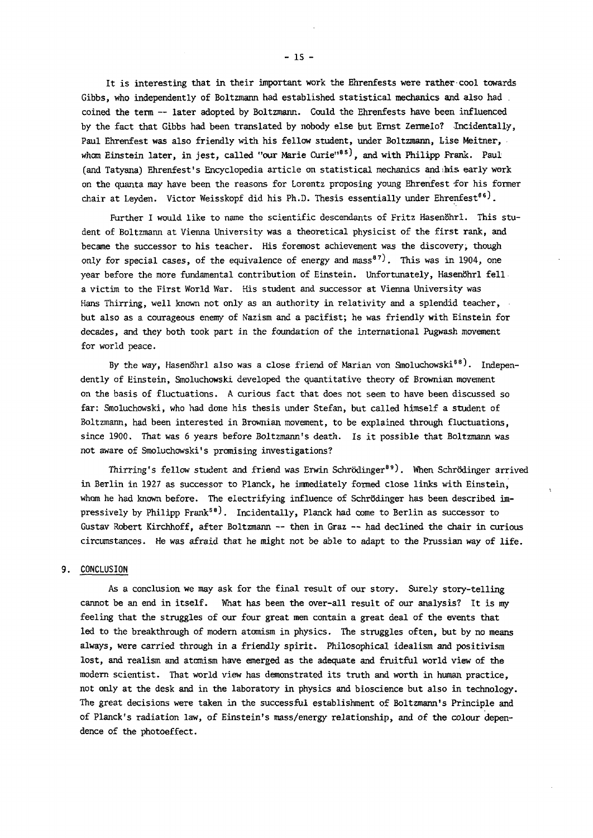It is interesting that in their important work the Ehrenfests were rather cool towards Gibbs, who independently of Boltzmann had established statistical mechanics and also had . coined the term -- later adopted by Boltzmann. Could the Ehrenfests have been influenced by the fact that Gibbs had been translated by nobody else but Ernst Zermelo? Incidentally, Paul Ehrenfest was also friendly with his fellow student, under Boltzmann, Lise Meitner, whom Einstein later, in jest, called "our Marie Curie"<sup>85</sup>, and with Philipp Frank. Paul (and Tatyana) Ehrenfest's Encyclopedia article on statistical mechanics andihis, early work on the quanta may have been the reasons for Lorentz proposing young Ehrenfest for his former chair at Leyden. Victor Weisskopf did his Ph.D. Thesis essentially under Ehrenfest<sup>86</sup>.

Further I would like to name the scientific descendants of Fritz Hasenöhrl. This student of Boltzmann at Vienna University was a theoretical physicist of the first rank, and became the successor to his teacher. His foremost achievement was the discovery, though only for special cases, of the equivalence of energy and mass<sup>87</sup>). This was in 1904, one year before the more fundamental contribution of Einstein. Unfortunately, Hasenöhrl fell a victim to the First World War. His student and successor at Vienna University was Hans Thirring, well known not only as an authority in relativity and a splendid teacher, but also as a courageous enemy of Nazism and a pacifist; he was friendly with Einstein for decades, and they both took part in the foundation of the international Pugwash movement for world peace.

By the way, Hasenöhrl also was a close friend of Marian von Smoluchowski<sup>88</sup>). Independently of Einstein, Smoluchowski developed the quantitative theory of Brownian movement on the basis of fluctuations. A curious fact that does not seem to have been discussed so far: Smoluchowski, who had done his thesis under Stefan, but called himself a student of Boltzmann, had been interested in Brownian movement, to be explained through fluctuations, since 1900. That was 6 years before Boltzmann's death. Is it possible that Boltzmann was not aware of Smoluchowski's promising investigations?

Thirring's fellow student and friend was Erwin Schrödinger<sup>89</sup>). When Schrödinger arrived in Berlin in 1927 as successor to Planck, he immediately formed close links with Einstein, whom he had known before. The electrifying influence of Schrödinger has been described impressively by Philipp Frank<sup>58</sup>). Incidentally, Planck had come to Berlin as successor to Gustav Robert Kirchhoff, after Boltzmann — then in Graz — had declined the chair in curious circumstances. He was afraid that he might not be able to adapt to the Prussian way of life.

#### 9. CONCLUSION

As a conclusion we may ask for the final result of our story. Surely story-telling cannot be an end in itself. What has been the over-all result of our analysis? It is my feeling that the struggles of our four great men contain a great deal of the events that led to the breakthrough of modern atomism in physics. The struggles often, but by no means always, were carried through in a friendly spirit. Philosophical idealism and positivism lost, and realism and atomism have emerged as the adequate and fruitful world view of the modern scientist. That world view has demonstrated its truth and worth in human practice, not only at the desk and in the laboratory in physics and bioscience but also in technology. The great decisions were taken in the successful establishment of Boltzmann's Principle and of Planck's radiation law, of Einstein's mass/energy relationship, and of the colour dependence of the photoeffect.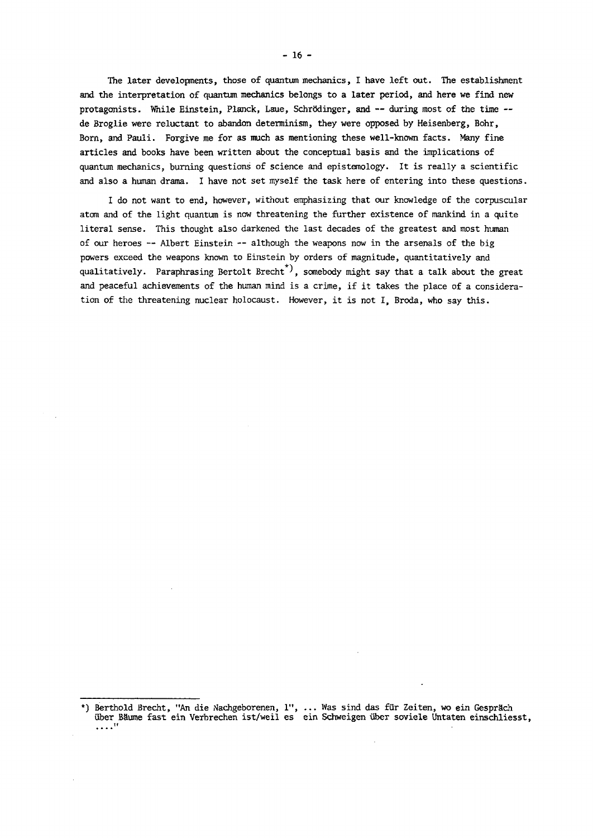The later developments, those of quantum mechanics, I have left out. The establishment and the interpretation of quantum mechanics belongs to a later period, and here we find new protagonists. While Einstein, Planck, Laue, Schrödinger, and -- during most of the time -de Broglie were reluctant to abandon determinism, they were opposed by Heisenberg, Bohr, Born, and Pauli. Forgive me for as much as mentioning these well-known facts. Many fine articles and books have been written about the conceptual basis and the implications of quantum mechanics, burning questions of science and epistemology. It is really a scientific and also a human drama. I have not set myself the task here of entering into these questions.

I do not want to end, however, without emphasizing that our knowledge of the corpuscular atom and of the light quantum is now threatening the further existence of mankind in a quite literal sense. This thought also darkened the last decades of the greatest and most human of our heroes — Albert Einstein — although the weapons now in the arsenals of the big powers exceed the weapons known to Einstein by orders of magnitude, quantitatively and qualitatively. Paraphrasing Bertolt Brecht  *J ,* somebody might say that a talk about the great and peaceful achievements of the human mind is a crime, if it takes the place of a consideration of the threatening nuclear holocaust. However, it is not I, Broda, who say this.

<sup>\*)</sup> Berthold Brecht, "An die Machgeborenen, 1", ... Was sind das fur Zeiten, wo ein Gesprach iiber Baume fast ein Verbrechen ist/weil es ein Schweigen uber soviele Uhtaten einschliesst,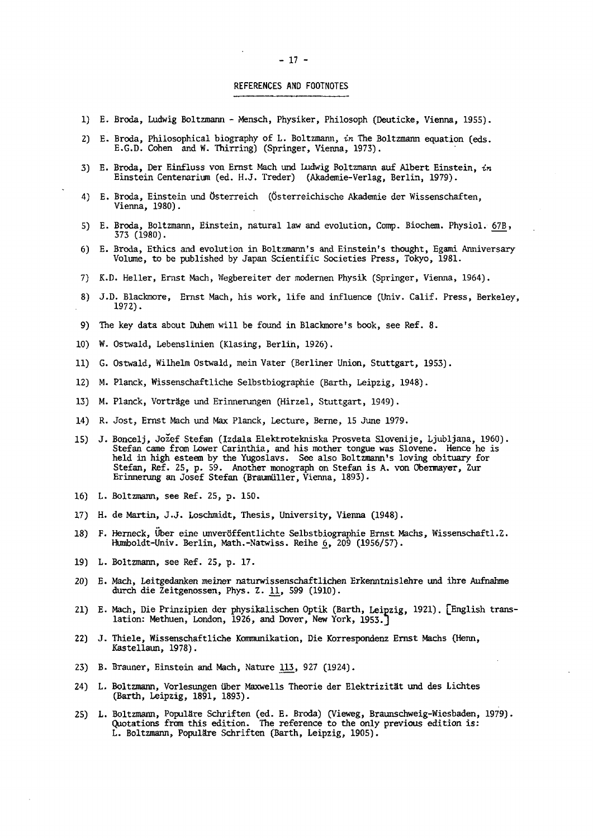#### REFERENCES AND FOOTNOTES

- 1) E. Broda, Ludwig Boltzmann Mensch, Physiker, Philosoph (Deuticke, Vienna, 1955).
- 2) E. Broda, Philosophical biography of L. Boltzmann, *in* The Boltzmann equation (eds. E.G.D. Cohen and W. Thirring) (Springer, Vienna, 1973).
- 3) E. Broda, Der Einfluss von Ernst Mach und Ludwig Boltzmann auf Albert Einstein, *in*  Einstein Centenarium (éd. H.J. Treder) (Akademie-Verlag, Berlin, 1979).
- 4) E. Broda, Einstein und Osterreich (Ôsterreichische Akademie der Wissenschaften, Vienna, 1980).
- 5) E. Broda, Boltzmann, Einstein, natural law and evolution, Comp. Biochem. Physiol. 67B, 373 (1980).
- 6) E. Broda, Ethics and evolution in Boltzmann's and Einstein's thought, Egami Anniversary
- 7) K.D. Heller, Ernst Mach, Wegbereiter der modernen Physik (Springer, Vienna, 1964).
- 8) J.D. Blackmore, Ernst Mach, his work, life and influence (Univ. Calif. Press, Berkeley,  $1972$ ).
- 9) The key data about Duhem will be found in Blackmore's book, see Ref. 8.
- 10) W. Ostwald, Lebenslinien (Klasing, Berlin, 1926).
- 11) G. Ostwald, Wilhelm Ostwald, mein Vater (Berliner Union, Stuttgart, 1953).
- 12) M. Planck, Wissenschaftliche Selbstbiographie (Barth, Leipzig, 1948).
- 13) M. Planck, Vorträge und Erinnerungen (Hirzel, Stuttgart, 1949).
- 14) R. Jost, Ernst Mach und Max Planck, Lecture, Berne, 15 June 1979.
- 15) J. Boncelj, Jožef Stefan (Izdala Elektrotekniska Prosveta Slovenije, Ljubljana, 1960). Stefan came from Lower Carinthia, and his mother tongue was Slovene. Hence he is held in high esteem by the Yugoslavs. See also Boltzmann's loving obituary for Stefan, Ref. 25, p. 59. Another monograph on Stefan is A. von Obermayer, Zur Erinnerung an Josef Stefan (Braumüller, Vienna, 1893).
- 16) L. Boltzmann, see Ref. 25, p. 150.
- 
- 17) H. de Martin, J.J. Loschmidt, Thesis, University, Vienna (1948). Humboldt-Univ. Berlin, Math.-Natwiss. Reihe  $6,$  209 (1956/57).
- 19) L. Boltzmann, see Ref. 25, p. 17.
- 20) E. Mach, Leitgedanken meiner naturwissenschaftlichen Erkenntnislehre und ihre Aufnahme durch die Zeitgenossen, Phys. Z. 11, 599 (1910).
- *20)* E. Mach, Leitgedanken meiner naturwissenschaftlichen Erkenntnislehre und ihre Aufnahme durch die Zeitgenossen, Phys. D., 2010, D., 2010. Phys. 2. D., 599 (1910). Phys. 2. D., 599 (1910). Phys. 2. D<br>Designations of Mothers of The London. 2022. Phys. 2. Designation March March 2. D., 2. D., 2. D., 2. D., 2. D 21) E. Mach, Die Prinzipien der physikalischen Optik (Barth, Leipzig, 1921). [English trans-
- 22) J. Thiele, Wissenschaftliche Kommunikation, Die Korrespondenz Ernst Machs (Henn, Kastellaun, 1978).
- 23) B. Brauner, Einstein and Mach, Nature 113, 927 (1924).
- 24) L. Boltzmann, Vorlesungen über Maxwells Theorie der Elektrizität und des Lichtes (Barth, Leipzig, 1891, 1893).
- 25) L. Boltzmann, Populäre Schriften (ed. E. Broda) (Vieweg, Braunschweig-Wiesbaden, 1979). Quotations from this edition. The reference to the only previous edition is: L. Boltzmann, Populäre Schriften (Barth, Leipzig, 1905). Quotations from this edition. The reference to the only previous edition is: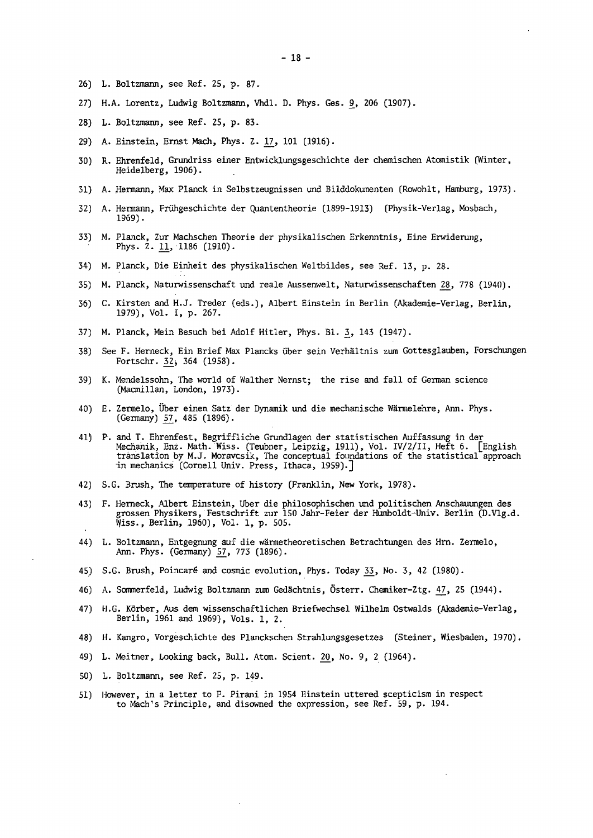- L. Boltzmann, see Ref. 25, p. 87.
- 27) H.A. Lorentz, Ludwig Boltzmann, Vhdl. D. Phys. Ges. 9, 206 (1907).
- L. Boltzmann, see Ref. 25, p. 83.
- 29) A. Einstein, Ernst Mach, Phys. Z. 17, 101 (1916).
- R. Ehrenfeld, Grundriss einer Entwicklungsgeschichte der chemischen Atomistik (Winter, Heidelberg, 1906).
- A. Hermann, Max Planck in Selbstzeugnissen und Bilddokumenten (Rowohlt, Hamburg, 1973).
- A. Hermann, Frühgeschichte der Quantentheorie (1899-1913) (Physik-Verlag, Mosbach, 32) 1969).
- 33) M. Planck, Zur Machschen Theorie der physikalischen Erkenntnis, Eine Erwiderung, Phys. 2. 11, 1186 (1910).
- M. Planck, Die Einheit des physikalischen Weltbildes, see Ref. 13, p. 28.
- M. Planck, Naturwissenschaft und reale Aussenwelt, Naturwissenschaften 28, 778 (1940).
- C. Kirsten and H.J. Treder (eds.), Albert Einstein in Berlin (Akademie-Verlag, Berlin, 36) 1979), Vol. I, p. 267.
- 37) M. Planck, Mein Besuch bei Adolf Hitler, Phys. Bl. 3, 143 (1947).
- See F. Herneck, Ein Brief Max Plancks über sein Verhältnis zum Gottesglauben, Forschungen Fortschr.  $32$ ; 364 (1958).
- K. Mendelssohn, The world of Walther Nernst; the rise and fall of German science 39) (Macmillan, London, 1973).
- E. Zermelo, Über einen Satz der Dynamik und die mechanische Wärmelehre, Ann. Phys. (Germany) 57, 485 (1896).
- P. and T. Ehrenfest, Begriffliche Grundlagen der statistischen Auffassung in der Mechanik, Enz. Math. Wiss. (Teubner, Leipzig, 1911), Vol. IV/2/II, Heft 6. [English translation by M.J. Moravcsik, The conceptual foundations of the statistical approach in mechanics (Cornell Univ. Press, Ithaca, 1959).]
- S.G. Brush, The temperature of history (Franklin, New York, 1978).
- F. Hemeck, Albert Einstein, Über die philosophischen und politischen Anschauungen des grossen Physikers, Festschrift zur 150 Jahr-Feier der Humboldt-Univ. Berlin (D.Vlg.d. Wiss., Berlin, 1960), Vol. 1, p. 505.
- L. Boltzmann, Entgegnung auf die wärmetheoretischen Betrachtungen des Hrn. Zermelo, Ann. Phys. (Germany) 57, 773 (1896).
- 45) S.G. Brush, Poincaré and cosmic evolution, Phys. Today 33, No. 3, 42 (1980).
- A. Sommerfeld, Ludwig Boltzmann zum Gedächtnis, Österr. Chemiker-Ztg. £7, 25 (1944).
- H.G. KÖrber, Aus dem wissenschaftlichen Briefwechsel Wilhelm Ostwalds (Akademie-Verlag, Berlin, 1961 and 1969), Vols. 1, 2.
- H. Kangro, Vorgeschichte des Planckschen Strahlungsgesetzes (Steiner, Wiesbaden, 1970).
- L. Meitner, Looking back, Bull. Atom. Scient. 20, No. 9, 2 (1964).
- L. Boltzmann, see Ref. 25, p. 149.
- 51) However, in a letter to F. Pirani in 1954 Einstein uttered scepticism in respect to Mach's Principle, and disowned the expression, see Ref. 59, p. 194.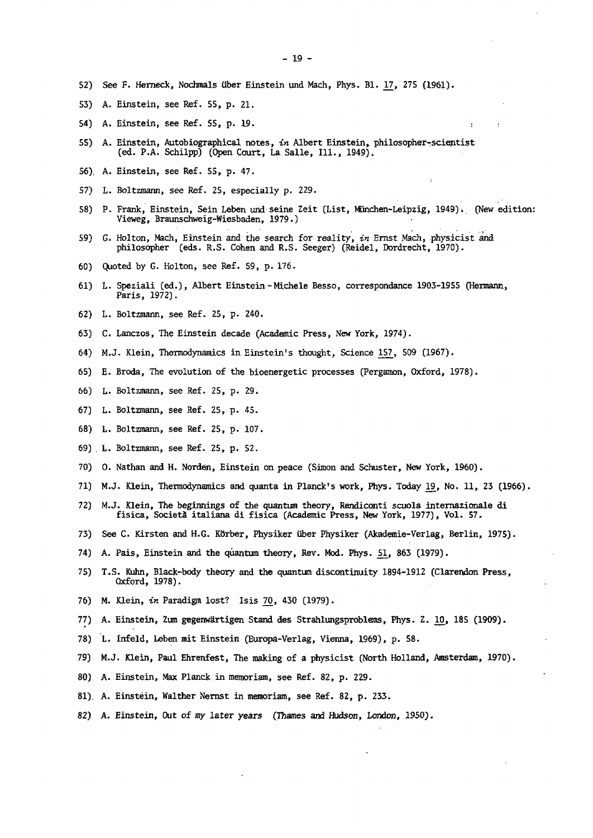- 52) See F. Herneck, Nochmals uber Einstein und Mach, Phys. Bl. 17, 275 (1961).
- 53) A. Einstein, see Ref. 55, p. 21.
- 54) A. Einstein, see Ref. 55, p. 19.
- 55) A. Einstein, Autobiographical notes, *in* Albert Einstein, philosopher-scientist (ed. P.A. Schilpp) (Open Court, La Salle, Ill., 1949).
- 
- 57) L. Boltzmann, see Ref. 25, especially p. 229. 57) L. Boltzmann, see Ref. 25, especially p. 229.
- 58) Vieweg, Braunschweig-Wiesbaden, 1979.)
- 59) G. Holton, Mach, Einstein and the search for reality, in Ernst Mach, physicist and philosopher (eds. R.S. Cohen and R.S. Seeger) (Reidel, Dordrecht, 1970).
- 60) Quoted by G. Holton, see Ref. 59, p. 176.
- 61) L. Speziali (ed.), Albert Einstein-Michele Besso, correspondance 1903-1955 (Hermann,  $f<sub>1</sub>$  and  $f<sub>2</sub>$ ,  $f<sub>3</sub>$ ,  $f<sub>4</sub>$ ,  $f<sub>5</sub>$ , corresponding 1903-1955 (Hermann,  $f<sub>5</sub>$ ), corresponding 1903-1955 (Hermann,  $f<sub>5</sub>$ ), corresponding 1903-1955 (Hermann,  $f<sub>6</sub>$ ), corresponding 190
- 62) L. Boltzmann, see Ref. 25, p. 240.
- 63) C. Lanczos, The Einstein decade (Academic Press, New York, 1974).
- 64) M.J. Klein, Thermodynamics in Einstein's thought, Science 157, 509 (1967).
- 65) E. Broda, The evolution of the bioenergetic processes (Pergamon, Oxford, 1978).
- 66) L. Boltzmann, see Ref. 25, p. 29.
- 67) L. Boltzmann, see Ref. 25, p. 45.
- 68) L. Boltzmann, see Ref. 25, p. 107.
- 69) L. Boltzmann, see Ref. 25, p. 52.
- 70) O. Nathan and H. Norden, Einstein on peace (Simon and Schuster, New York, 1960).
- 71) M.J. Klein, Thermodynamics and quanta in Planck's work, Phys. Today 19, No. 11, 23 (1966).
- 72) M.J. Klein, The beginnings of the quantum theory, Rendiconti scuola internazionale di fisica, Società italiana di fisica (Academic Press, New York, 1977), Vol. 57.
- 73) See C. Kirsten and H.G. Körber, Physiker über Physiker (Akademie-Verlag, Berlin, 1975).
- 74) A. Pais, Einstein and the quantum theory, Rev. Mod. Phys. 51, 863 (1979).
- 75) T.S. Kuhn, Black-body theory and the quantum discontinuity 1894-1912 (Clarendon Press, 0xford, 1978).
- 76) M. Klein, in Paradigm lost? Isis 70, 430 (1979).
- 77) A. Einstein, Zum gegenwärtigen Stand des Strahlungsproblems, Phys. Z. 10, 185 (1909).
- 78) L. Infeld, Leben mit Einstein (Europa-Verlag, Vienna, 1969), p. 58.
- 79) M.J. Klein, Paul Ehrenfest, The making of a physicist (North Holland, Amsterdam, 1970).
- 80) A. Einstein, Max Planck in memoriam, see Ref. 82, p. 229.
- 81). A. Einstein, Walther Nernst in memoriam, see Ref. 82, p. 233.
- 82) A. Einstein, Out of my later years (Thames and Hudson, London, 1950).

82) A. Einstein, Out of my later years (Thames and Hudson, London, 1950).